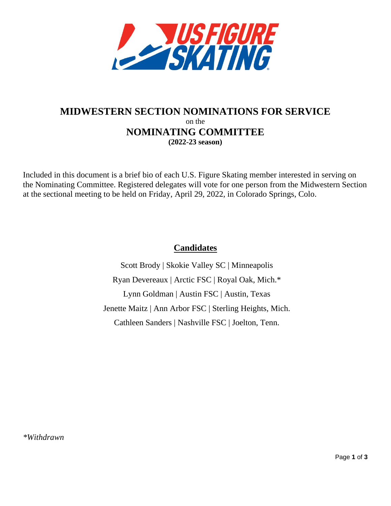

# **MIDWESTERN SECTION NOMINATIONS FOR SERVICE** on the **NOMINATING COMMITTEE (2022-23 season)**

Included in this document is a brief bio of each U.S. Figure Skating member interested in serving on the Nominating Committee. Registered delegates will vote for one person from the Midwestern Section at the sectional meeting to be held on Friday, April 29, 2022, in Colorado Springs, Colo.

# **Candidates**

Scott Brody | Skokie Valley SC | Minneapolis Ryan Devereaux | Arctic FSC | Royal Oak, Mich.\* Lynn Goldman | Austin FSC | Austin, Texas Jenette Maitz | Ann Arbor FSC | Sterling Heights, Mich. Cathleen Sanders | Nashville FSC | Joelton, Tenn.

*\*Withdrawn*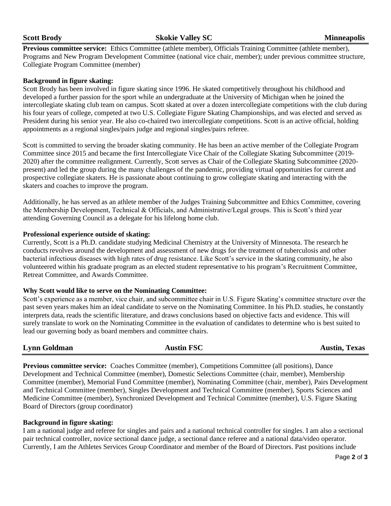**Previous committee service:** Ethics Committee (athlete member), Officials Training Committee (athlete member), Programs and New Program Development Committee (national vice chair, member); under previous committee structure, Collegiate Program Committee (member)

# **Background in figure skating:**

Scott Brody has been involved in figure skating since 1996. He skated competitively throughout his childhood and developed a further passion for the sport while an undergraduate at the University of Michigan when he joined the intercollegiate skating club team on campus. Scott skated at over a dozen intercollegiate competitions with the club during his four years of college, competed at two U.S. Collegiate Figure Skating Championships, and was elected and served as President during his senior year. He also co-chaired two intercollegiate competitions. Scott is an active official, holding appointments as a regional singles/pairs judge and regional singles/pairs referee.

Scott is committed to serving the broader skating community. He has been an active member of the Collegiate Program Committee since 2015 and became the first Intercollegiate Vice Chair of the Collegiate Skating Subcommittee (2019- 2020) after the committee realignment. Currently, Scott serves as Chair of the Collegiate Skating Subcommittee (2020 present) and led the group during the many challenges of the pandemic, providing virtual opportunities for current and prospective collegiate skaters. He is passionate about continuing to grow collegiate skating and interacting with the skaters and coaches to improve the program.

Additionally, he has served as an athlete member of the Judges Training Subcommittee and Ethics Committee, covering the Membership Development, Technical & Officials, and Administrative/Legal groups. This is Scott's third year attending Governing Council as a delegate for his lifelong home club.

## **Professional experience outside of skating:**

Currently, Scott is a Ph.D. candidate studying Medicinal Chemistry at the University of Minnesota. The research he conducts revolves around the development and assessment of new drugs for the treatment of tuberculosis and other bacterial infectious diseases with high rates of drug resistance. Like Scott's service in the skating community, he also volunteered within his graduate program as an elected student representative to his program's Recruitment Committee, Retreat Committee, and Awards Committee.

## **Why Scott would like to serve on the Nominating Committee:**

Scott's experience as a member, vice chair, and subcommittee chair in U.S. Figure Skating's committee structure over the past seven years makes him an ideal candidate to serve on the Nominating Committee. In his Ph.D. studies, he constantly interprets data, reads the scientific literature, and draws conclusions based on objective facts and evidence. This will surely translate to work on the Nominating Committee in the evaluation of candidates to determine who is best suited to lead our governing body as board members and committee chairs.

**Lynn Goldman Austin FSC Austin, Texas Previous committee service:** Coaches Committee (member), Competitions Committee (all positions), Dance Development and Technical Committee (member), Domestic Selections Committee (chair, member), Membership Committee (member), Memorial Fund Committee (member), Nominating Committee (chair, member), Pairs Development and Technical Committee (member), Singles Development and Technical Committee (member), Sports Sciences and Medicine Committee (member), Synchronized Development and Technical Committee (member), U.S. Figure Skating

# **Background in figure skating:**

Board of Directors (group coordinator)

I am a national judge and referee for singles and pairs and a national technical controller for singles. I am also a sectional pair technical controller, novice sectional dance judge, a sectional dance referee and a national data/video operator. Currently, I am the Athletes Services Group Coordinator and member of the Board of Directors. Past positions include